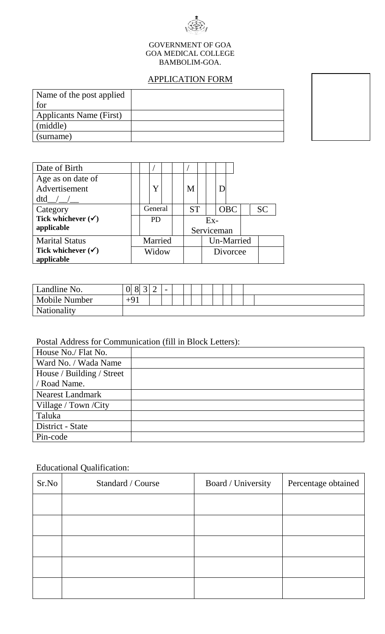

#### GOVERNMENT OF GOA GOA MEDICAL COLLEGE BAMBOLIM-GOA.

# APPLICATION FORM

| Name of the post applied |  |
|--------------------------|--|
| for                      |  |
| Applicants Name (First)  |  |
| (middle)                 |  |
| (surname)                |  |

| Date of Birth                 |           |   |           |   |            |            |            |           |  |  |
|-------------------------------|-----------|---|-----------|---|------------|------------|------------|-----------|--|--|
| Age as on date of             |           |   |           |   |            |            |            |           |  |  |
| Advertisement                 |           | Y |           | M |            |            |            |           |  |  |
| $dtd$ / /                     |           |   |           |   |            |            |            |           |  |  |
| Category                      | General   |   | <b>ST</b> |   |            | <b>OBC</b> |            | <b>SC</b> |  |  |
| Tick whichever $(\checkmark)$ | <b>PD</b> |   | $Ex-$     |   |            |            |            |           |  |  |
| applicable                    |           |   |           |   |            |            | Serviceman |           |  |  |
| <b>Marital Status</b>         | Married   |   |           |   | Un-Married |            |            |           |  |  |
| Tick whichever $(\checkmark)$ | Widow     |   |           |   |            |            | Divorcee   |           |  |  |
| applicable                    |           |   |           |   |            |            |            |           |  |  |

| Landline No.         | $\Omega$<br>UI | 8 | $\sim$<br>ັ | $\sim$<br>∸ | - |  |  |  |  |  |
|----------------------|----------------|---|-------------|-------------|---|--|--|--|--|--|
| <b>Mobile Number</b> | $+91$          |   |             |             |   |  |  |  |  |  |
| <b>Nationality</b>   |                |   |             |             |   |  |  |  |  |  |

### Postal Address for Communication (fill in Block Letters):

## Educational Qualification:

| Sr.No | Standard / Course | Board / University | Percentage obtained |
|-------|-------------------|--------------------|---------------------|
|       |                   |                    |                     |
|       |                   |                    |                     |
|       |                   |                    |                     |
|       |                   |                    |                     |
|       |                   |                    |                     |